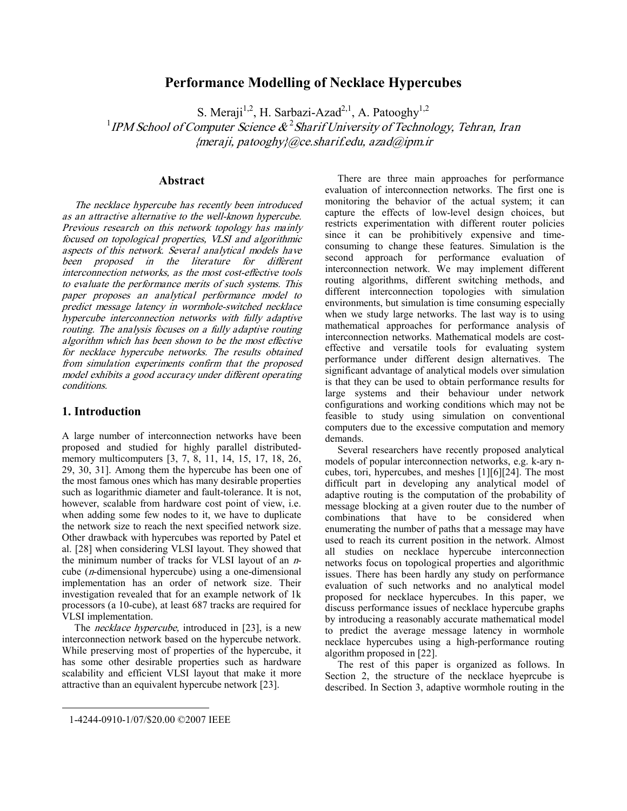# **Performance Modelling of Necklace Hypercubes**

S. Meraji<sup>1,2</sup>, H. Sarbazi-Azad<sup>2,1</sup>, A. Patooghy<sup>1,2</sup> 1 *IPM School of Computer Science &*  2 *Sharif University of Technology, Tehran, Iran {meraji, patooghy}@ce.sharif.edu, azad@ipm.ir* 

## **Abstract**

*The necklace hypercube has recently been introduced as an attractive alternative to the well-known hypercube. Previous research on this network topology has mainly focused on topological properties, VLSI and algorithmic aspects of this network. Several analytical models have been proposed in the literature for different interconnection networks, as the most cost-effective tools to evaluate the performance merits of such systems. This paper proposes an analytical performance model to predict message latency in wormhole-switched necklace hypercube interconnection networks with fully adaptive routing. The analysis focuses on <sup>a</sup> fully adaptive routing algorithm which has been shown to be the most effective for necklace hypercube networks. The results obtained from simulation experiments confirm that the proposed model exhibits <sup>a</sup> good accuracy under different operating conditions.* 

## **1. Introduction**

A large number of interconnection networks have been proposed and studied for highly parallel distributedmemory multicomputers [3, 7, 8, 11, 14, 15, 17, 18, 26, 29, 30, 31]. Among them the hypercube has been one of the most famous ones which has many desirable properties such as logarithmic diameter and fault-tolerance. It is not, however, scalable from hardware cost point of view, i.e. when adding some few nodes to it, we have to duplicate the network size to reach the next specified network size. Other drawback with hypercubes was reported by Patel et al. [28] when considering VLSI layout. They showed that the minimum number of tracks for VLSI layout of an *n*cube (*n*-dimensional hypercube) using a one-dimensional implementation has an order of network size. Their investigation revealed that for an example network of 1k processors (a 10-cube), at least 687 tracks are required for VLSI implementation.

The *necklace hypercube,* introduced in [23], is a new interconnection network based on the hypercube network. While preserving most of properties of the hypercube, it has some other desirable properties such as hardware scalability and efficient VLSI layout that make it more attractive than an equivalent hypercube network [23].

There are three main approaches for performance evaluation of interconnection networks. The first one is monitoring the behavior of the actual system; it can capture the effects of low-level design choices, but restricts experimentation with different router policies since it can be prohibitively expensive and timeconsuming to change these features. Simulation is the second approach for performance evaluation of interconnection network. We may implement different routing algorithms, different switching methods, and different interconnection topologies with simulation environments, but simulation is time consuming especially when we study large networks. The last way is to using mathematical approaches for performance analysis of interconnection networks. Mathematical models are costeffective and versatile tools for evaluating system performance under different design alternatives. The significant advantage of analytical models over simulation is that they can be used to obtain performance results for large systems and their behaviour under network configurations and working conditions which may not be feasible to study using simulation on conventional computers due to the excessive computation and memory demands.

Several researchers have recently proposed analytical models of popular interconnection networks, e.g. k-ary ncubes, tori, hypercubes, and meshes [1][6][24]. The most difficult part in developing any analytical model of adaptive routing is the computation of the probability of message blocking at a given router due to the number of combinations that have to be considered when enumerating the number of paths that a message may have used to reach its current position in the network. Almost all studies on necklace hypercube interconnection networks focus on topological properties and algorithmic issues. There has been hardly any study on performance evaluation of such networks and no analytical model proposed for necklace hypercubes. In this paper, we discuss performance issues of necklace hypercube graphs by introducing a reasonably accurate mathematical model to predict the average message latency in wormhole necklace hypercubes using a high-performance routing algorithm proposed in [22].

The rest of this paper is organized as follows. In Section 2, the structure of the necklace hyeprcube is described. In Section 3, adaptive wormhole routing in the

 $\overline{a}$ 

<sup>1-4244-0910-1/07/\$20.00 ©2007</sup> IEEE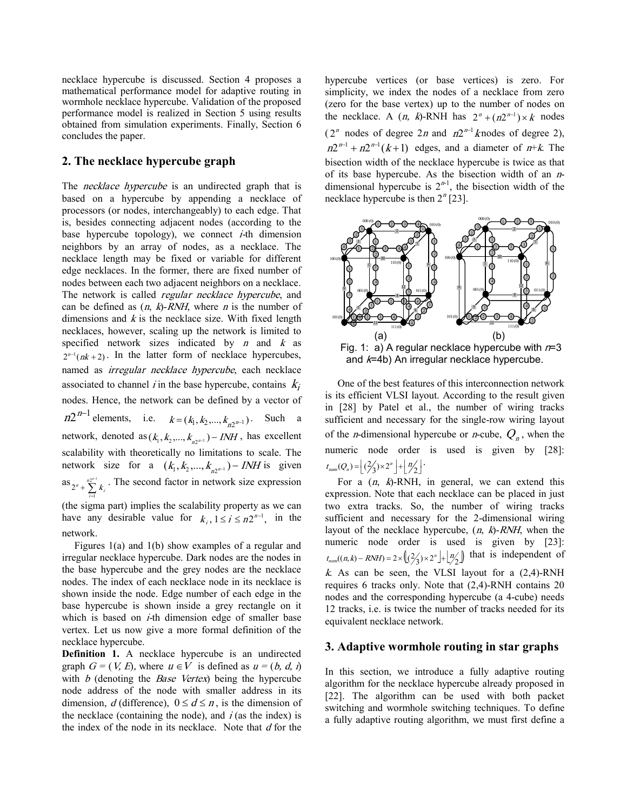necklace hypercube is discussed. Section 4 proposes a mathematical performance model for adaptive routing in wormhole necklace hypercube. Validation of the proposed performance model is realized in Section 5 using results obtained from simulation experiments. Finally, Section 6 concludes the paper.

## **2. The necklace hypercube graph**

The *necklace hypercube* is an undirected graph that is based on a hypercube by appending a necklace of processors (or nodes, interchangeably) to each edge. That is, besides connecting adjacent nodes (according to the base hypercube topology), we connect *i-*th dimension neighbors by an array of nodes, as a necklace. The necklace length may be fixed or variable for different edge necklaces. In the former, there are fixed number of nodes between each two adjacent neighbors on a necklace. The network is called *regular necklace hypercube*, and can be defined as (*n*, *k*)-*RNH*, where *<sup>n</sup>* is the number of dimensions and *<sup>k</sup>* is the necklace size. With fixed length necklaces, however, scaling up the network is limited to specified network sizes indicated by *<sup>n</sup>* and *<sup>k</sup>* as  $2^{n-1}(nk+2)$ . In the latter form of necklace hypercubes, named as *irregular necklace hypercube*, each necklace associated to channel *i* in the base hypercube, contains  $k_i$ nodes. Hence, the network can be defined by a vector of  $n2^{n-1}$  elements, i.e.  $k = (k_1, k_2, ..., k_{n2^{n-1}})$ . Such a network, denoted as  $(k_1, k_2, ..., k_{n2^{n-1}}) - INH$ , has excellent scalability with theoretically no limitations to scale. The network size for a  $(k_1, k_2, ..., k_{n2^{n-1}}) - INH$  is given as  $2^{n} + \sum_{i=1}^{n} k_i$ . The second factor in network size expression 1 =

(the sigma part) implies the scalability property as we can have any desirable value for  $k_i$ ,  $1 \le i \le n2^{n-1}$ , in the network.

Figures 1(a) and 1(b) show examples of a regular and irregular necklace hypercube. Dark nodes are the nodes in the base hypercube and the grey nodes are the necklace nodes. The index of each necklace node in its necklace is shown inside the node. Edge number of each edge in the base hypercube is shown inside a grey rectangle on it which is based on *i-*th dimension edge of smaller base vertex. Let us now give a more formal definition of the necklace hypercube.

**Definition 1.** A necklace hypercube is an undirected graph  $G = (V, E)$ , where  $u \in V$  is defined as  $u = (b, d, i)$ with *b* (denoting the *Base Vertex*) being the hypercube node address of the node with smaller address in its dimension, *d* (difference),  $0 \le d \le n$ , is the dimension of the necklace (containing the node), and *i* (as the index) is the index of the node in its necklace. Note that *d* for the

hypercube vertices (or base vertices) is zero. For simplicity, we index the nodes of a necklace from zero (zero for the base vertex) up to the number of nodes on the necklace. A  $(n, k)$ -RNH has  $2^n + (n2^{n-1}) \times k$  nodes  $(2^n \text{ nodes of degree } 2n \text{ and } n2^{n-1} \text{ knots of degree } 2),$  $n2^{n-1} + n2^{n-1}(k+1)$  edges, and a diameter of  $n+k$ . The bisection width of the necklace hypercube is twice as that of its base hypercube. As the bisection width of an *n*dimensional hypercube is  $2^{n-1}$ , the bisection width of the necklace hypercube is then  $2<sup>n</sup>$  [23].



One of the best features of this interconnection network is its efficient VLSI layout. According to the result given in [28] by Patel et al., the number of wiring tracks sufficient and necessary for the single-row wiring layout of the *n*-dimensional hypercube or *n*-cube,  $Q_n$ , when the numeric node order is used is given by [28]:  $t_{num}(Q_n) = \left\lfloor \frac{2}{3} \times 2^n \right\rfloor + \left\lfloor \frac{n}{2} \right\rfloor$ .

For a (*n*, *k*)-RNH, in general, we can extend this expression. Note that each necklace can be placed in just two extra tracks. So, the number of wiring tracks sufficient and necessary for the 2-dimensional wiring layout of the necklace hypercube, (*n*, *k*)-*RNH*, when the numeric node order is used is given by [23]:  $t_{num}((n, k) - RNH) = 2 \times \left( \left( \frac{2}{3} \right) \times 2^{n} \right) + \left( \frac{n}{2} \right)$  that is independent of  $k$ . As can be seen, the VLSI layout for a  $(2,4)$ -RNH requires 6 tracks only. Note that (2,4)-RNH contains 20 nodes and the corresponding hypercube (a 4-cube) needs 12 tracks, i.e. is twice the number of tracks needed for its equivalent necklace network.

#### **3. Adaptive wormhole routing in star graphs**

In this section, we introduce a fully adaptive routing algorithm for the necklace hypercube already proposed in [22]. The algorithm can be used with both packet switching and wormhole switching techniques. To define a fully adaptive routing algorithm, we must first define a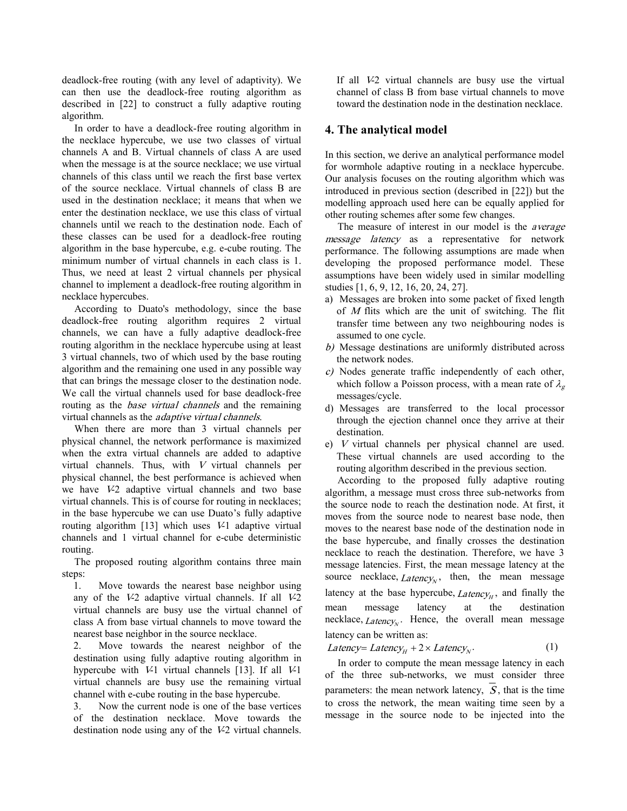deadlock-free routing (with any level of adaptivity). We can then use the deadlock-free routing algorithm as described in [22] to construct a fully adaptive routing algorithm.

In order to have a deadlock-free routing algorithm in the necklace hypercube, we use two classes of virtual channels A and B. Virtual channels of class A are used when the message is at the source necklace; we use virtual channels of this class until we reach the first base vertex of the source necklace. Virtual channels of class B are used in the destination necklace; it means that when we enter the destination necklace, we use this class of virtual channels until we reach to the destination node. Each of these classes can be used for a deadlock-free routing algorithm in the base hypercube, e.g. e-cube routing. The minimum number of virtual channels in each class is 1. Thus, we need at least 2 virtual channels per physical channel to implement a deadlock-free routing algorithm in necklace hypercubes.

According to Duato's methodology, since the base deadlock-free routing algorithm requires 2 virtual channels, we can have a fully adaptive deadlock-free routing algorithm in the necklace hypercube using at least 3 virtual channels, two of which used by the base routing algorithm and the remaining one used in any possible way that can brings the message closer to the destination node. We call the virtual channels used for base deadlock-free routing as the *base virtual channels* and the remaining virtual channels as the *adaptive virtual channels*.

When there are more than 3 virtual channels per physical channel, the network performance is maximized when the extra virtual channels are added to adaptive virtual channels. Thus, with *<sup>V</sup>* virtual channels per physical channel, the best performance is achieved when we have *V*-2 adaptive virtual channels and two base virtual channels. This is of course for routing in necklaces; in the base hypercube we can use Duato's fully adaptive routing algorithm [13] which uses *V*-1 adaptive virtual channels and 1 virtual channel for e-cube deterministic routing.

The proposed routing algorithm contains three main steps:

1. Move towards the nearest base neighbor using any of the *V*-2 adaptive virtual channels. If all *V*-2 virtual channels are busy use the virtual channel of class A from base virtual channels to move toward the nearest base neighbor in the source necklace.

2. Move towards the nearest neighbor of the destination using fully adaptive routing algorithm in hypercube with *V*-1 virtual channels [13]. If all *V*-1 virtual channels are busy use the remaining virtual channel with e-cube routing in the base hypercube.

3. Now the current node is one of the base vertices of the destination necklace. Move towards the destination node using any of the *V*-2 virtual channels.

If all *V*-2 virtual channels are busy use the virtual channel of class B from base virtual channels to move toward the destination node in the destination necklace.

## **4. The analytical model**

In this section, we derive an analytical performance model for wormhole adaptive routing in a necklace hypercube. Our analysis focuses on the routing algorithm which was introduced in previous section (described in [22]) but the modelling approach used here can be equally applied for other routing schemes after some few changes.

The measure of interest in our model is the *average message latency* as a representative for network performance. The following assumptions are made when developing the proposed performance model. These assumptions have been widely used in similar modelling studies [1, 6, 9, 12, 16, 20, 24, 27].

- a) Messages are broken into some packet of fixed length of *<sup>M</sup>* flits which are the unit of switching. The flit transfer time between any two neighbouring nodes is assumed to one cycle.
- *b)* Message destinations are uniformly distributed across the network nodes.
- *c)* Nodes generate traffic independently of each other, which follow a Poisson process, with a mean rate of  $\lambda_g$ messages/cycle.
- d) Messages are transferred to the local processor through the ejection channel once they arrive at their destination.
- e) *<sup>V</sup>*virtual channels per physical channel are used. These virtual channels are used according to the routing algorithm described in the previous section.

According to the proposed fully adaptive routing algorithm, a message must cross three sub-networks from the source node to reach the destination node. At first, it moves from the source node to nearest base node, then moves to the nearest base node of the destination node in the base hypercube, and finally crosses the destination necklace to reach the destination. Therefore, we have 3 message latencies. First, the mean message latency at the source necklace,  $Latency_N$ , then, the mean message latency at the base hypercube,  $Latency<sub>H</sub>$ , and finally the mean message latency at the destination necklace, *Latency*<sub>N</sub>. Hence, the overall mean message latency can be written as:

$$
Latency = LatencyH + 2 \times LatencyN.
$$
 (1)

In order to compute the mean message latency in each of the three sub-networks, we must consider three parameters: the mean network latency, *S* , that is the time to cross the network, the mean waiting time seen by a message in the source node to be injected into the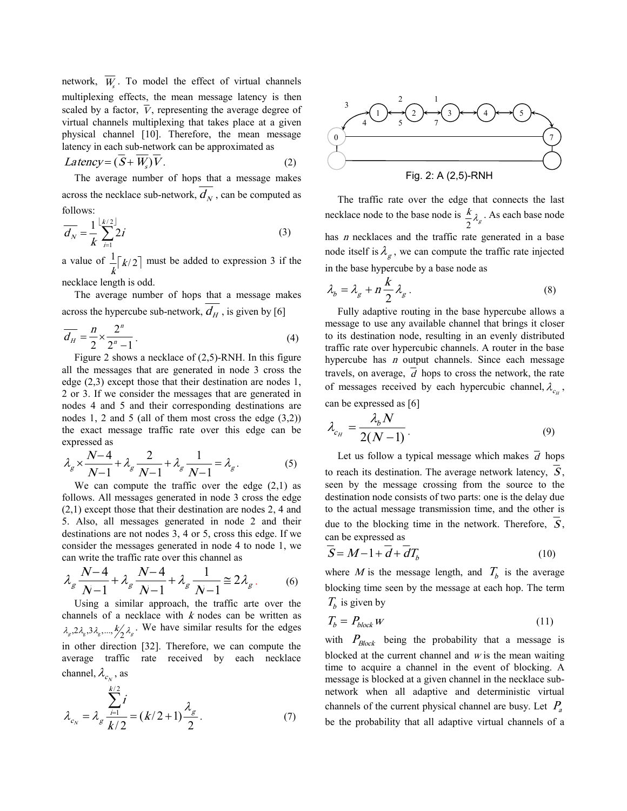network,  $W_s$ . To model the effect of virtual channels multiplexing effects, the mean message latency is then scaled by a factor,  $\overline{V}$ , representing the average degree of virtual channels multiplexing that takes place at a given physical channel [10]. Therefore, the mean message latency in each sub-network can be approximated as

$$
Latency = (\overline{S} + \overline{W_s})\overline{V}.
$$
 (2)

The average number of hops that a message makes across the necklace sub-network,  $d_N$ , can be computed as follows:

$$
\overline{d_N} = \frac{1}{k} \sum_{i=1}^{\lfloor k/2 \rfloor} 2i \tag{3}
$$

a value of  $\frac{1}{k} \lceil k/2 \rceil$  must be added to expression 3 if the

necklace length is odd.

The average number of hops that a message makes across the hypercube sub-network,  $d_H$ , is given by [6]

$$
\overline{d_H} = \frac{n}{2} \times \frac{2^n}{2^n - 1} \tag{4}
$$

Figure 2 shows a necklace of (2,5)-RNH. In this figure all the messages that are generated in node 3 cross the edge (2,3) except those that their destination are nodes 1, 2 or 3. If we consider the messages that are generated in nodes 4 and 5 and their corresponding destinations are nodes 1, 2 and 5 (all of them most cross the edge  $(3,2)$ ) the exact message traffic rate over this edge can be expressed as

$$
\lambda_g \times \frac{N-4}{N-1} + \lambda_g \frac{2}{N-1} + \lambda_g \frac{1}{N-1} = \lambda_g.
$$
 (5)

We can compute the traffic over the edge (2,1) as follows. All messages generated in node 3 cross the edge (2,1) except those that their destination are nodes 2, 4 and 5. Also, all messages generated in node 2 and their destinations are not nodes 3, 4 or 5, cross this edge. If we consider the messages generated in node 4 to node 1, we can write the traffic rate over this channel as

$$
\lambda_g \frac{N-4}{N-1} + \lambda_g \frac{N-4}{N-1} + \lambda_g \frac{1}{N-1} \approx 2\lambda_g. \tag{6}
$$

Using a similar approach, the traffic arte over the channels of a necklace with *<sup>k</sup>* nodes can be written as  $\lambda_g$ ,  $2\lambda_g$ ,  $3\lambda_g$ ,  $\ldots$ ,  $k'_2\lambda_g$ . We have similar results for the edges in other direction [32]. Therefore, we can compute the average traffic rate received by each necklace channel,  $\lambda_{c_N}$ , as

$$
\lambda_{c_N} = \lambda_g \frac{\sum_{i=1}^{k/2} i}{k/2} = (k/2 + 1) \frac{\lambda_g}{2}.
$$
 (7)



The traffic rate over the edge that connects the last necklace node to the base node is  $\frac{k}{2} \lambda_{g}$  $\frac{k}{2}\lambda$ . As each base node has *<sup>n</sup>* necklaces and the traffic rate generated in a base node itself is  $\lambda_g$ , we can compute the traffic rate injected in the base hypercube by a base node as

$$
\lambda_b = \lambda_g + n \frac{k}{2} \lambda_g \,. \tag{8}
$$

Fully adaptive routing in the base hypercube allows a message to use any available channel that brings it closer to its destination node, resulting in an evenly distributed traffic rate over hypercubic channels. A router in the base hypercube has *<sup>n</sup>* output channels. Since each message travels, on average,  $\overline{d}$  hops to cross the network, the rate of messages received by each hypercubic channel,  $\lambda_{c_H}$ , can be expressed as [6]

$$
\lambda_{c_H} = \frac{\lambda_b N}{2(N-1)}.
$$
\n(9)

Let us follow a typical message which makes  $\overline{d}$  hops to reach its destination. The average network latency, *S* , seen by the message crossing from the source to the destination node consists of two parts: one is the delay due to the actual message transmission time, and the other is due to the blocking time in the network. Therefore,  $\overline{S}$ , can be expressed as

$$
\overline{S} = M - 1 + \overline{d} + \overline{d}T_b \tag{10}
$$

where *M* is the message length, and  $T_b$  is the average blocking time seen by the message at each hop. The term  $T_b$  is given by

$$
T_b = P_{block} \tag{11}
$$

with  $P_{Block}$  being the probability that a message is blocked at the current channel and *<sup>w</sup>* is the mean waiting time to acquire a channel in the event of blocking. A message is blocked at a given channel in the necklace subnetwork when all adaptive and deterministic virtual channels of the current physical channel are busy. Let *P<sup>a</sup>* be the probability that all adaptive virtual channels of a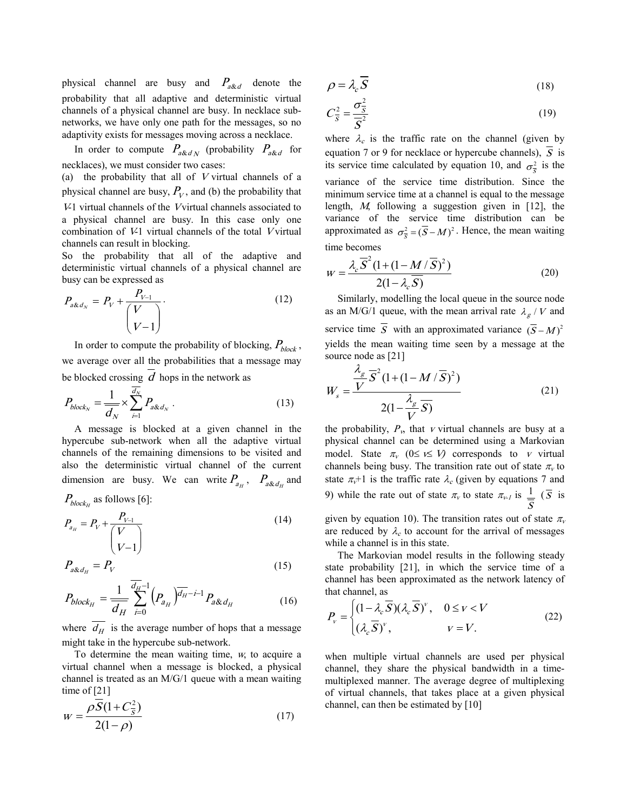physical channel are busy and  $P_{a\&d}$  denote the probability that all adaptive and deterministic virtual channels of a physical channel are busy. In necklace subnetworks, we have only one path for the messages, so no adaptivity exists for messages moving across a necklace.

In order to compute  $P_{a\& d\,N}$  (probability  $P_{a\& d}$  for necklaces), we must consider two cases:

(a) the probability that all of *<sup>V</sup>* virtual channels of a physical channel are busy,  $P_V$ , and (b) the probability that *<sup>V</sup>*-1 virtual channels of the *V*virtual channels associated to a physical channel are busy. In this case only one combination of *V*-1 virtual channels of the total *<sup>V</sup>* virtual channels can result in blocking.

So the probability that all of the adaptive and deterministic virtual channels of a physical channel are busy can be expressed as

$$
P_{a\& d_N} = P_V + \frac{P_{V-1}}{\binom{V}{V-1}}.
$$
\n(12)

In order to compute the probability of blocking,  $P_{block}$ , we average over all the probabilities that a message may be blocked crossing *d* hops in the network as

$$
P_{block_N} = \frac{1}{\overline{d}_N} \times \sum_{i=1}^{d_N} P_{a \& d_N} \,. \tag{13}
$$

A message is blocked at a given channel in the hypercube sub-network when all the adaptive virtual channels of the remaining dimensions to be visited and also the deterministic virtual channel of the current dimension are busy. We can write  $P_{a_H}$ ,  $P_{a\& d_H}$  and

 $P_{block_H}$  as follows [6]:

$$
P_{a_{H}} = P_{V} + \frac{P_{V-1}}{\binom{V}{V-1}}
$$
(14)

$$
P_{a\&d_H} = P_V \tag{15}
$$

$$
P_{block_{H}} = \frac{1}{d_{H}} \sum_{i=0}^{d_{H}-1} \left( P_{a_{H}} \right)^{\overline{d_{H}}-i-1} P_{a\& d_{H}}
$$
 (16)

where  $d_H$  is the average number of hops that a message might take in the hypercube sub-network.

To determine the mean waiting time, *w*, to acquire a virtual channel when a message is blocked, a physical channel is treated as an M/G/1 queue with a mean waiting time of [21]

$$
w = \frac{\rho \overline{S} (1 + C_{\overline{S}}^2)}{2(1 - \rho)}
$$
(17)

$$
\rho = \lambda_c \overline{S} \tag{18}
$$

$$
C_{\overline{S}}^2 = \frac{\sigma_{\overline{S}}^2}{\overline{S}^2} \tag{19}
$$

where  $\lambda_c$  is the traffic rate on the channel (given by equation 7 or 9 for necklace or hypercube channels),  $\overline{S}$  is its service time calculated by equation 10, and  $\sigma_{\overline{S}}^2$  is the variance of the service time distribution. Since the minimum service time at a channel is equal to the message length, *M*, following a suggestion given in [12], the variance of the service time distribution can be approximated as  $\sigma_{\overline{s}}^2 = (\overline{S} - M)^2$ . Hence, the mean waiting time becomes

$$
W = \frac{\lambda_c \overline{S}^2 (1 + (1 - M/\overline{S})^2)}{2(1 - \lambda_c \overline{S})}
$$
(20)

Similarly, modelling the local queue in the source node as an M/G/1 queue, with the mean arrival rate  $\lambda_g / V$  and service time *S* with an approximated variance  $(\bar{S} - M)^2$ yields the mean waiting time seen by a message at the source node as [21]

$$
W_s = \frac{\frac{\lambda_g}{V} \overline{S}^2 (1 + (1 - M/\overline{S})^2)}{2(1 - \frac{\lambda_g}{V} \overline{S})}
$$
(21)

the probability,  $P<sub>v</sub>$ , that *v* virtual channels are busy at a physical channel can be determined using a Markovian model. State  $\pi_v$  ( $0 \leq v \leq V$ ) corresponds to *v* virtual channels being busy. The transition rate out of state  $\pi$ <sup>*v*</sup> to state  $\pi_v$ +1 is the traffic rate  $\lambda_c$  (given by equations 7 and 9) while the rate out of state  $\pi$ <sup>*v*</sup> to state  $\pi$ <sup>*v*-1</sup> is  $\frac{1}{\pi}$ *S*  $\overline{(S}$  is

given by equation 10). The transition rates out of state  $\pi$ <sup>*v*</sup> are reduced by  $\lambda_c$  to account for the arrival of messages while a channel is in this state.

The Markovian model results in the following steady state probability [21], in which the service time of a channel has been approximated as the network latency of that channel, as

$$
P_v = \begin{cases} (1 - \lambda_c \overline{S})(\lambda_c \overline{S})^v, & 0 \le v < V \\ (\lambda_c \overline{S})^v, & v = V. \end{cases}
$$
 (22)

when multiple virtual channels are used per physical channel, they share the physical bandwidth in a timemultiplexed manner. The average degree of multiplexing of virtual channels, that takes place at a given physical channel, can then be estimated by [10]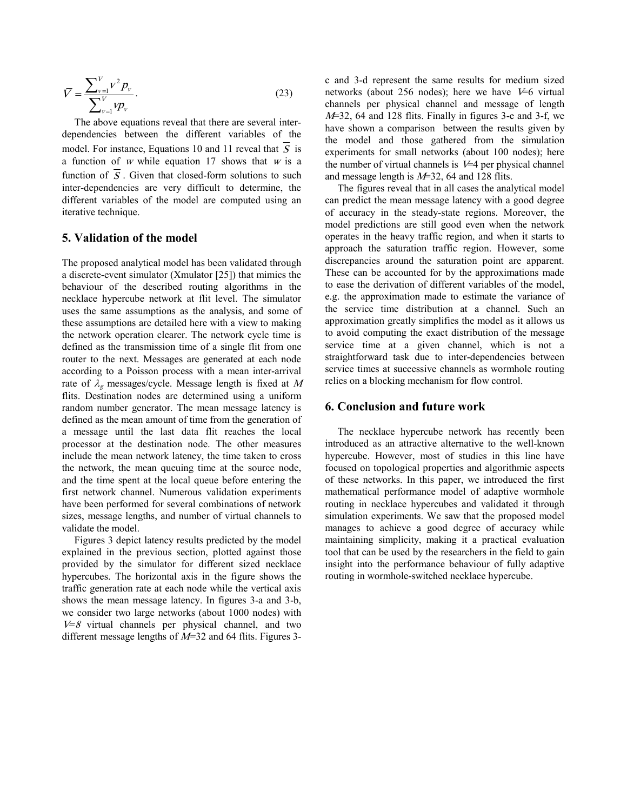$$
\overline{V} = \frac{\sum_{\nu=1}^{V} V^2 p_{\nu}}{\sum_{\nu=1}^{V} V p_{\nu}}.
$$
\n(23)

The above equations reveal that there are several interdependencies between the different variables of the model. For instance, Equations 10 and 11 reveal that  $\overline{S}$  is a function of *<sup>w</sup>* while equation 17 shows that *<sup>w</sup>* is a function of  $\overline{S}$ . Given that closed-form solutions to such inter-dependencies are very difficult to determine, the different variables of the model are computed using an iterative technique.

### **5. Validation of the model**

The proposed analytical model has been validated through a discrete-event simulator (Xmulator [25]) that mimics the behaviour of the described routing algorithms in the necklace hypercube network at flit level. The simulator uses the same assumptions as the analysis, and some of these assumptions are detailed here with a view to making the network operation clearer. The network cycle time is defined as the transmission time of a single flit from one router to the next. Messages are generated at each node according to a Poisson process with a mean inter-arrival rate of  $\lambda_g$  messages/cycle. Message length is fixed at M flits. Destination nodes are determined using a uniform random number generator. The mean message latency is defined as the mean amount of time from the generation of a message until the last data flit reaches the local processor at the destination node. The other measures include the mean network latency, the time taken to cross the network, the mean queuing time at the source node, and the time spent at the local queue before entering the first network channel. Numerous validation experiments have been performed for several combinations of network sizes, message lengths, and number of virtual channels to validate the model.

Figures 3 depict latency results predicted by the model explained in the previous section, plotted against those provided by the simulator for different sized necklace hypercubes. The horizontal axis in the figure shows the traffic generation rate at each node while the vertical axis shows the mean message latency. In figures 3-a and 3-b, we consider two large networks (about 1000 nodes) with *V=8* virtual channels per physical channel, and two different message lengths of *M=*32 and 64 flits. Figures 3c and 3-d represent the same results for medium sized networks (about 256 nodes); here we have *V*=6 virtual channels per physical channel and message of length *<sup>M</sup>*=32, 64 and 128 flits. Finally in figures 3-e and 3-f, we have shown a comparison between the results given by the model and those gathered from the simulation experiments for small networks (about 100 nodes); here the number of virtual channels is *V*=4 per physical channel and message length is *M*=32, 64 and 128 flits.

The figures reveal that in all cases the analytical model can predict the mean message latency with a good degree of accuracy in the steady-state regions. Moreover, the model predictions are still good even when the network operates in the heavy traffic region, and when it starts to approach the saturation traffic region. However, some discrepancies around the saturation point are apparent. These can be accounted for by the approximations made to ease the derivation of different variables of the model, e.g. the approximation made to estimate the variance of the service time distribution at a channel. Such an approximation greatly simplifies the model as it allows us to avoid computing the exact distribution of the message service time at a given channel, which is not a straightforward task due to inter-dependencies between service times at successive channels as wormhole routing relies on a blocking mechanism for flow control.

### **6. Conclusion and future work**

The necklace hypercube network has recently been introduced as an attractive alternative to the well-known hypercube. However, most of studies in this line have focused on topological properties and algorithmic aspects of these networks. In this paper, we introduced the first mathematical performance model of adaptive wormhole routing in necklace hypercubes and validated it through simulation experiments. We saw that the proposed model manages to achieve a good degree of accuracy while maintaining simplicity, making it a practical evaluation tool that can be used by the researchers in the field to gain insight into the performance behaviour of fully adaptive routing in wormhole-switched necklace hypercube.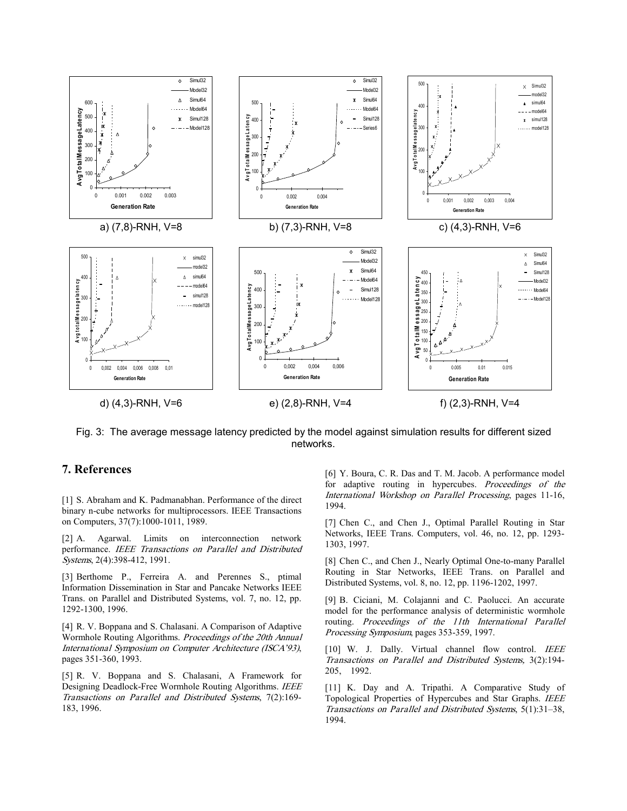

Fig. 3: The average message latency predicted by the model against simulation results for different sized networks.

# **7. References**

[1] S. Abraham and K. Padmanabhan. Performance of the direct binary n-cube networks for multiprocessors. IEEE Transactions on Computers, 37(7):1000-1011, 1989.

[2] A. Agarwal. Limits on interconnection network performance. *IEEE Transactions on Parallel and Distributed Systems*, 2(4):398-412, 1991.

[3] Berthome P., Ferreira A. and Perennes S., ptimal Information Dissemination in Star and Pancake Networks IEEE Trans. on Parallel and Distributed Systems, vol. 7, no. 12, pp. 1292-1300, 1996.

[4] R. V. Boppana and S. Chalasani. A Comparison of Adaptive Wormhole Routing Algorithms. *Proceedings of the 20th Annual International Symposium on Computer Architecture (ISCA'93)*, pages 351-360, 1993.

[5] R. V. Boppana and S. Chalasani, A Framework for Designing Deadlock-Free Wormhole Routing Algorithms. *IEEE Transactions on Parallel and Distributed Systems*, 7(2):169- 183, 1996.

[6] Y. Boura, C. R. Das and T. M. Jacob. A performance model for adaptive routing in hypercubes. *Proceedings of the International Workshop on Parallel Processing*, pages 11-16, 1994.

[7] Chen C., and Chen J., Optimal Parallel Routing in Star Networks, IEEE Trans. Computers, vol. 46, no. 12, pp. 1293- 1303, 1997.

[8] Chen C., and Chen J., Nearly Optimal One-to-many Parallel Routing in Star Networks, IEEE Trans. on Parallel and Distributed Systems, vol. 8, no. 12, pp. 1196-1202, 1997.

[9] B. Ciciani, M. Colajanni and C. Paolucci. An accurate model for the performance analysis of deterministic wormhole routing. *Proceedings of the 11th International Parallel Processing Symposium*, pages 353-359, 1997.

[10] W. J. Dally. Virtual channel flow control. *IEEE Transactions on Parallel and Distributed Systems,* 3(2):194- 205, 1992.

[11] K. Day and A. Tripathi. A Comparative Study of Topological Properties of Hypercubes and Star Graphs. *IEEE Transactions on Parallel and Distributed Systems*, 5(1):31–38, 1994.